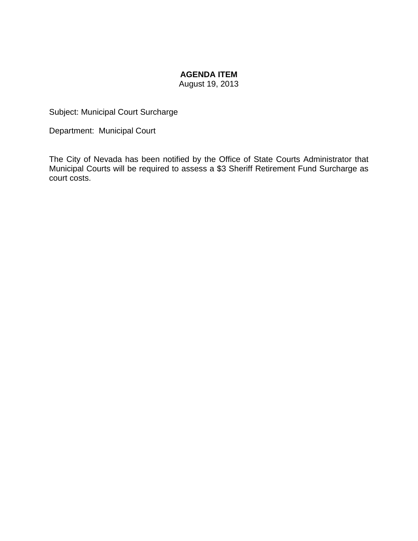# **AGENDA ITEM**

August 19, 2013

Subject: Municipal Court Surcharge

Department: Municipal Court

The City of Nevada has been notified by the Office of State Courts Administrator that Municipal Courts will be required to assess a \$3 Sheriff Retirement Fund Surcharge as court costs.